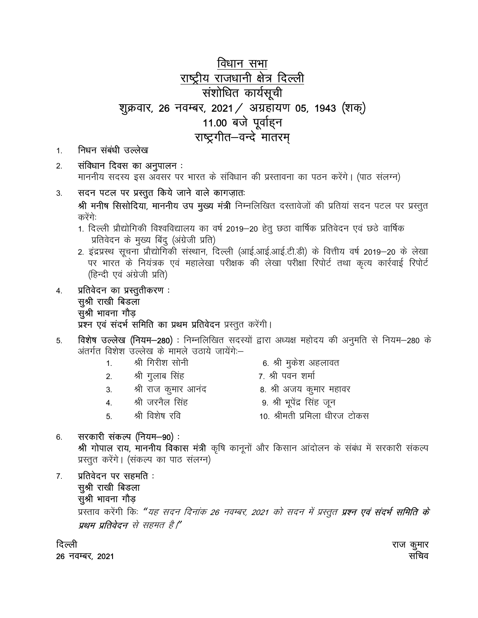### विधान सभा राष्ट्रीय राजधानी क्षेत्र दिल्ली संशोधित कार्यसूची शूक्रवार, 26 नवम्बर, 2021 / अग्रहायण 05, 1943 (शक्) 11.00 बजे पूर्वाहन राष्ट्रगीत–वन्दे मातरम्

- निधन संबंधी उल्लेख  $1.$
- संविधान दिवस का अनुपालन:  $2.$ माननीय सदस्य इस अवसर पर भारत के संविधान की प्रस्तावना का पठन करेंगे। (पाठ संलग्न)
- सदन पटल पर प्रस्तुत किये जाने वाले कागज़ातः 3. श्री मनीष सिसोदिया, माननीय उप मुख्य मंत्री निम्नलिखित दस्तावेजों की प्रतियां सदन पटल पर प्रस्तुत
	- करेंगे:
	- 1. दिल्ली प्रौद्योगिकी विश्वविद्यालय का वर्ष 2019-20 हेतू छठा वार्षिक प्रतिवेदन एवं छठे वार्षिक प्रतिवेदन के मुख्य बिंदु (अंग्रेजी प्रति)
	- 2. इंद्रप्रस्थ सूचना प्रौद्योगिकी संस्थान, दिल्ली (आई.आई.आई.टी.डी) के वित्तीय वर्ष 2019–20 के लेखा पर भारत के नियंत्रक एवं महालेखा परीक्षक की लेखा परीक्षा रिपोर्ट तथा कृत्य कार्रवाई रिपोर्ट (हिन्दी एवं अंग्रेजी प्रति)
- प्रतिवेदन का प्रस्तूतीकरण :  $\overline{4}$ . सुश्री राखी बिडला सुश्री भावना गौड़ प्रश्न एवं संदर्भ समिति का प्रथम प्रतिवेदन प्रस्तुत करेंगी।
- विशेष उल्लेख (नियम-280) : निम्नलिखित सदस्यों द्वारा अध्यक्ष महोदय की अनुमति से नियम-280 के 5. अंतर्गत विशेश उल्लेख के मामले उठाये जायेंगे:–
	- श्री गिरीश सोनी 6. श्री मुकेश अहलावत  $1<sup>1</sup>$
	- श्री गुलाब सिंह 7. श्री पवन शर्मा  $2.$ 
		- 8. श्री अजय कुमार महावर
		- श्री राज कुमार आनंद 3.
		- श्री जरनैल सिंह  $4.$  $5<sub>1</sub>$ 
			- श्री विशेष रवि
- 9. श्री भूपेंद्र सिंह जून
- 10. श्रीमती प्रमिला धीरज टोकस

#### सरकारी संकल्प (नियम-90) : 6.

श्री गोपाल राय, माननीय विकास मंत्री कृषि कानूनों और किसान आंदोलन के संबंध में सरकारी संकल्प प्रस्तुत करेंगे। (संकल्प का पाठ संलग्न)

प्रतिवेदन पर सहमति:  $7<sup>1</sup>$ सूश्री राखी बिडला सुश्री भावना गौड़

प्रस्ताव करेंगी किः "*यह सदन दिनांक 26 नवम्बर, 2021 को सदन में प्रस्तुत प्रश्न एवं संदर्भ समिति के* प्रथम प्रतिवेदन से सहमत है।"

दिल्ली

26 नवम्बर, 2021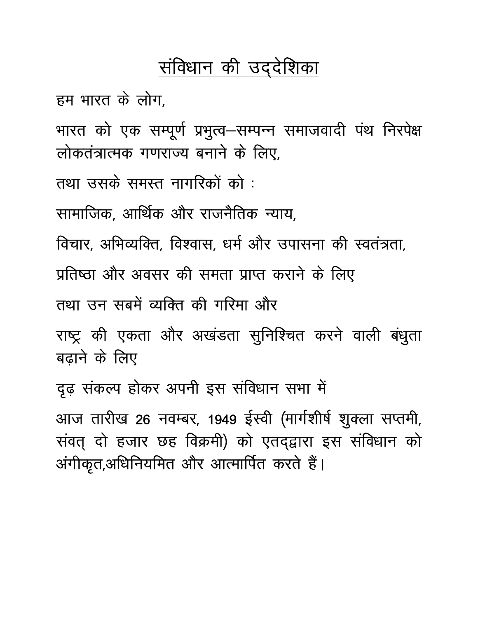# संविधान की उद्देशिका

हम भारत के लोग.

भारत को एक सम्पूर्ण प्रभुत्व-सम्पन्न समाजवादी पंथ निरपेक्ष लोकतंत्रात्मक गणराज्य बनाने के लिए.

तथा उसके समस्त नागरिकों को :

सामाजिक, आर्थिक और राजनैतिक न्याय,

विचार. अभिव्यक्ति. विश्वास. धर्म और उपासना की स्वतंत्रता,

प्रतिष्ठा और अवसर की समता प्राप्त कराने के लिए

तथा उन सबमें व्यक्ति की गरिमा और

राष्ट्र की एकता और अखंडता सुनिश्चित करने वाली बंधुता बढ़ाने के लिए

दृढ़ संकल्प होकर अपनी इस संविधान सभा में

आज तारीख 26 नवम्बर, 1949 ईस्वी (मार्गशीर्ष शुक्ला सप्तमी, संवत् दो हजार छह विक्रमी) को एतद्द्वारा इस संविधान को अंगीकृत,अधिनियमित और आत्मार्पित करते हैं।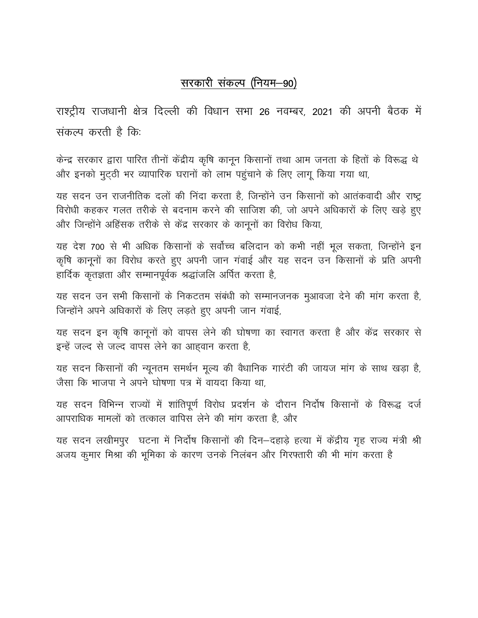### सरकारी संकल्प (नियम-90)

राश्ट्रीय राजधानी क्षेत्र दिल्ली की विधान सभा 26 नवम्बर, 2021 की अपनी बैठक में संकल्प करती है कि.

केन्द्र सरकार द्वारा पारित तीनों केंद्रीय कृषि कानून किसानों तथा आम जनता के हितों के विरूद्ध थे और इनको मुट्ठी भर व्यापारिक घरानों को लाभ पहुंचाने के लिए लागू किया गया था,

यह सदन उन राजनीतिक दलों की निंदा करता है, जिन्होंने उन किसानों को आतंकवादी और राष्ट्र विरोधी कहकर गलत तरीके से बदनाम करने की साजिश की, जो अपने अधिकारों के लिए खड़े हुए और जिन्होंने अहिंसक तरीके से केंद्र सरकार के कानूनों का विरोध किया,

यह देश 700 से भी अधिक किसानों के सर्वोच्च बलिदान को कभी नहीं भूल सकता, जिन्होंने इन कृषि कानूनों का विरोध करते हुए अपनी जान गंवाई और यह सदन उन किसानों के प्रति अपनी हार्दिक कृतज्ञता और सम्मानपूर्वक श्रद्धांजलि अर्पित करता है,

यह सदन उन सभी किसानों के निकटतम संबंधी को सम्मानजनक मुआवजा देने की मांग करता है, जिन्होंने अपने अधिकारों के लिए लड़ते हुए अपनी जान गंवाई,

यह सदन इन कृषि कानूनों को वापस लेने की घोषणा का स्वागत करता है और केंद्र सरकार से इन्हें जल्द से जल्द वापस लेने का आहवान करता है,

यह सदन किसानों की न्यूनतम समर्थन मूल्य की वैधानिक गारंटी की जायज मांग के साथ खड़ा है, जैसा कि भाजपा ने अपने घोषणा पत्र में वायदा किया था.

यह सदन विभिन्न राज्यों में शांतिपूर्ण विरोध प्रदर्शन के दौरान निर्दोष किसानों के विरूद्ध दर्ज आपराधिक मामलों को तत्काल वापिस लेने की मांग करता है. और

यह सदन लखीमपुर घटना में निर्दोष किसानों की दिन-दहाड़े हत्या में केंद्रीय गृह राज्य मंत्री श्री अजय कूमार मिश्रा की भूमिका के कारण उनके निलंबन और गिरफ्तारी की भी मांग करता है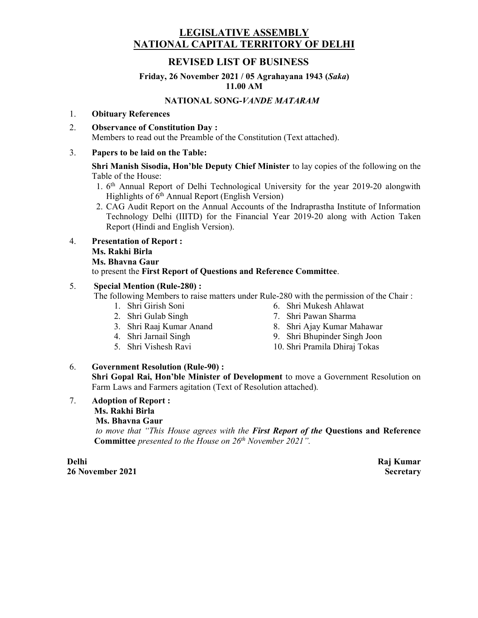#### LEGISLATIVE ASSEMBLY NATIONAL CAPITAL TERRITORY OF DELHI

#### REVISED LIST OF BUSINESS

#### Friday, 26 November 2021 / 05 Agrahayana 1943 (Saka) 11.00 AM

#### NATIONAL SONG-VANDE MATARAM

#### 1. Obituary References

2. Observance of Constitution Day : Members to read out the Preamble of the Constitution (Text attached).

#### 3. Papers to be laid on the Table:

Shri Manish Sisodia, Hon'ble Deputy Chief Minister to lay copies of the following on the Table of the House:

- 1. 6<sup>th</sup> Annual Report of Delhi Technological University for the year 2019-20 alongwith Highlights of  $6<sup>th</sup>$  Annual Report (English Version)
- 2. CAG Audit Report on the Annual Accounts of the Indraprastha Institute of Information Technology Delhi (IIITD) for the Financial Year 2019-20 along with Action Taken Report (Hindi and English Version).
- 4. Presentation of Report : Ms. Rakhi Birla

#### Ms. Bhavna Gaur

to present the First Report of Questions and Reference Committee.

#### 5. Special Mention (Rule-280) :

The following Members to raise matters under Rule-280 with the permission of the Chair :

- 1. Shri Girish Soni
- 2. Shri Gulab Singh
- 3. Shri Raaj Kumar Anand
- 4. Shri Jarnail Singh
- 5. Shri Vishesh Ravi
- 6. Shri Mukesh Ahlawat
- 7. Shri Pawan Sharma
- 8. Shri Ajay Kumar Mahawar
- 9. Shri Bhupinder Singh Joon
- 10. Shri Pramila Dhiraj Tokas

#### 6. Government Resolution (Rule-90) :

Shri Gopal Rai, Hon'ble Minister of Development to move a Government Resolution on Farm Laws and Farmers agitation (Text of Resolution attached).

7. Adoption of Report : Ms. Rakhi Birla Ms. Bhavna Gaur

to move that "This House agrees with the First Report of the Questions and Reference **Committee** presented to the House on  $26<sup>th</sup>$  November 2021".

Delhi 26 November 2021 Raj Kumar **Secretary**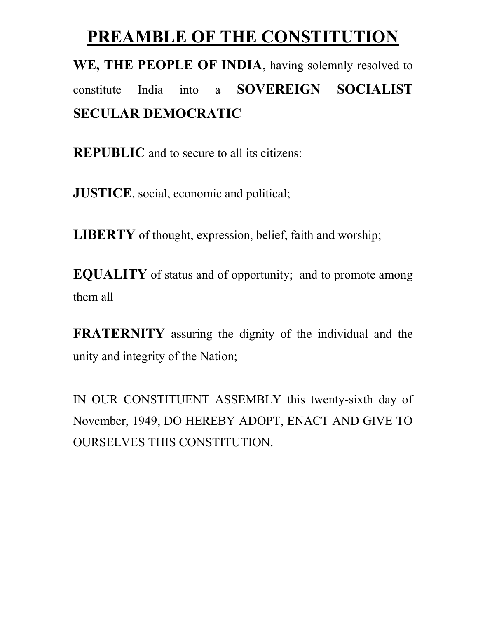# PREAMBLE OF THE CONSTITUTION

# WE, THE PEOPLE OF INDIA, having solemnly resolved to constitute India into a SOVEREIGN SOCIALIST SECULAR DEMOCRATIC

REPUBLIC and to secure to all its citizens:

JUSTICE, social, economic and political;

LIBERTY of thought, expression, belief, faith and worship;

EQUALITY of status and of opportunity; and to promote among them all

FRATERNITY assuring the dignity of the individual and the unity and integrity of the Nation;

IN OUR CONSTITUENT ASSEMBLY this twenty-sixth day of November, 1949, DO HEREBY ADOPT, ENACT AND GIVE TO OURSELVES THIS CONSTITUTION.